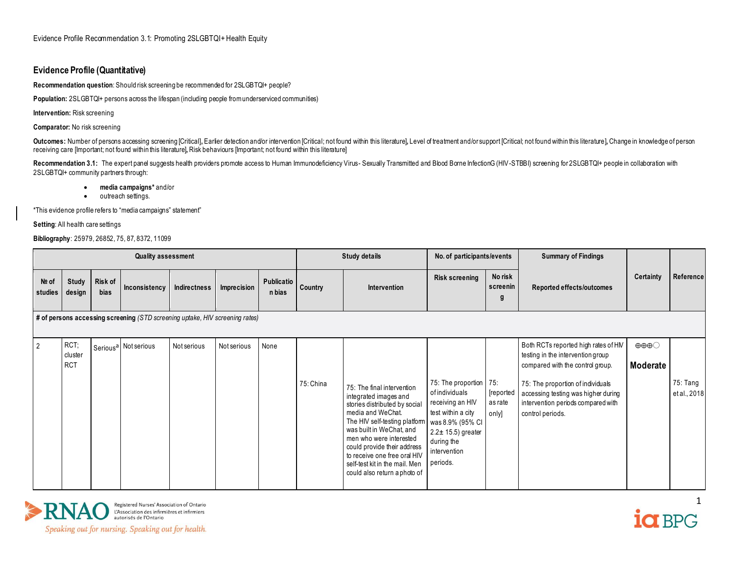## **Evidence Profile (Quantitative)**

**Recommendation question**: Should risk screening be recommended for 2SLGBTQI+ people?

**Population:** 2SLGBTQI+ persons across the lifespan (including people from underserviced communities)

**Intervention:** Risk screening

**Comparator:** No risk screening

Outcomes: Number of persons accessing screening [Critical], Earler detection and/or intervention [Critical; not found within this literature], Level of treatment and/or support [Critical; not found within this literature], receiving care [Important; not found within this literature]**,** Risk behaviours [Important; not found within this literature]

Recommendation 3.1: The expert panel suggests health providers promote access to Human Immunodeficiency Virus- Sexually Transmitted and Blood Borne InfectionG (HIV-STBBI) screening for 2SLGBTQI+ people in collaboration wit 2SLGBTQI+ community partners through:

- **media campaigns\*** and/or
- outreach settings.

\*This evidence profile refers to "media campaigns" statement"

**Setting**: All health care settings

**Bibliography**: 25979, 26852, 75, 87, 8372, 11099

|                  | <b>Quality assessment</b>                                                    |                        |                                  |              |             |                             |           | <b>Study details</b>                                                                                                                                                                                                                                                                                                               | No. of participants/events                                                                                                                                               |                                      | <b>Summary of Findings</b>                                                                                                                                                                                                                         |                                             |                          |
|------------------|------------------------------------------------------------------------------|------------------------|----------------------------------|--------------|-------------|-----------------------------|-----------|------------------------------------------------------------------------------------------------------------------------------------------------------------------------------------------------------------------------------------------------------------------------------------------------------------------------------------|--------------------------------------------------------------------------------------------------------------------------------------------------------------------------|--------------------------------------|----------------------------------------------------------------------------------------------------------------------------------------------------------------------------------------------------------------------------------------------------|---------------------------------------------|--------------------------|
| Nº of<br>studies | <b>Study</b><br>design                                                       | Risk of<br><b>bias</b> | Inconsistency                    | Indirectness | Imprecision | <b>Publicatio</b><br>n bias | Country   | Intervention                                                                                                                                                                                                                                                                                                                       | <b>Risk screening</b>                                                                                                                                                    | No risk<br>screenin<br>g             | Reported effects/outcomes                                                                                                                                                                                                                          | Certainty                                   | Reference                |
|                  | # of persons accessing screening (STD screening uptake, HIV screening rates) |                        |                                  |              |             |                             |           |                                                                                                                                                                                                                                                                                                                                    |                                                                                                                                                                          |                                      |                                                                                                                                                                                                                                                    |                                             |                          |
| $\overline{2}$   | RCT;<br>cluster<br><b>RCT</b>                                                |                        | Serious <sup>a</sup> Not serious | Not serious  | Not serious | None                        | 75: China | 75: The final intervention<br>integrated images and<br>stories distributed by social<br>media and WeChat.<br>The HIV self-testing platform<br>was built in WeChat, and<br>men who were interested<br>could provide their address<br>to receive one free oral HIV<br>self-test kit in the mail. Men<br>could also return a photo of | 75: The proportion<br>of individuals<br>receiving an HIV<br>test within a city<br>was 8.9% (95% CI<br>$2.2 \pm 15.5$ ) greater<br>during the<br>intervention<br>periods. | 75:<br>[reported<br>as rate<br>only] | Both RCTs reported high rates of HM<br>testing in the intervention group<br>compared with the control group.<br>75: The proportion of individuals<br>accessing testing was higher during<br>intervention periods compared with<br>control periods. | $\oplus \oplus \oplus \bigcirc$<br>Moderate | 75: Tang<br>et al., 2018 |



Registered Nurses' Association of Ontario<br>L'Association des infirmières et infirmiers<br>autorisés de l'Ontario

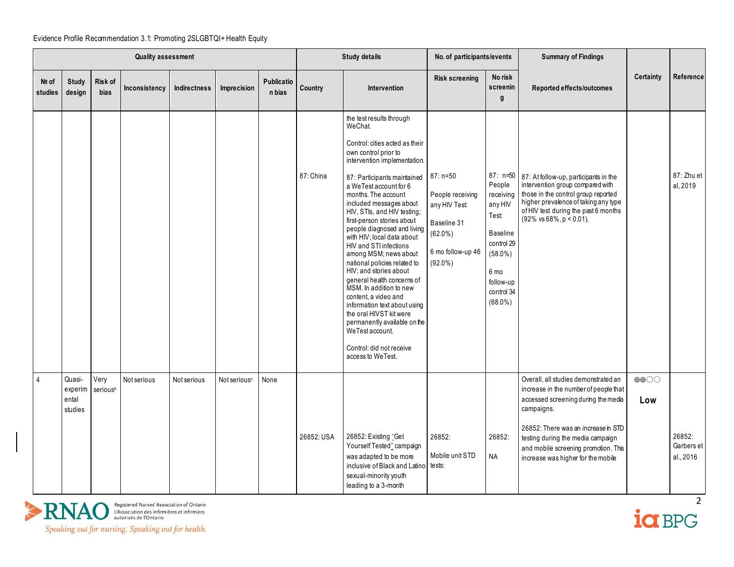|                    | <b>Quality assessment</b>             |                              |               |                     |                          |                      |            | <b>Study details</b>                                                                                                                                                                                                                                                                                                                                                                                                                                                                                                                                                                                                                                                                                                            | No. of participants/events                                                                                      |                                                                                                                                         | <b>Summary of Findings</b>                                                                                                                                                                                                                                                                   |                                          |                                   |
|--------------------|---------------------------------------|------------------------------|---------------|---------------------|--------------------------|----------------------|------------|---------------------------------------------------------------------------------------------------------------------------------------------------------------------------------------------------------------------------------------------------------------------------------------------------------------------------------------------------------------------------------------------------------------------------------------------------------------------------------------------------------------------------------------------------------------------------------------------------------------------------------------------------------------------------------------------------------------------------------|-----------------------------------------------------------------------------------------------------------------|-----------------------------------------------------------------------------------------------------------------------------------------|----------------------------------------------------------------------------------------------------------------------------------------------------------------------------------------------------------------------------------------------------------------------------------------------|------------------------------------------|-----------------------------------|
| $Ne$ of<br>studies | <b>Study</b><br>design                | Risk of<br>bias              | Inconsistency | <b>Indirectness</b> | Imprecision              | Publicatio<br>n bias | Country    | Intervention                                                                                                                                                                                                                                                                                                                                                                                                                                                                                                                                                                                                                                                                                                                    | <b>Risk screening</b>                                                                                           | No risk<br>screenin<br>g                                                                                                                | Reported effects/outcomes                                                                                                                                                                                                                                                                    | <b>Certainty</b>                         | Reference                         |
|                    |                                       |                              |               |                     |                          |                      | 87: China  | the test results through<br>WeChat.<br>Control: cities acted as their<br>own control prior to<br>intervention implementation.<br>87: Participants maintained<br>a WeTest account for 6<br>months. The account<br>included messages about<br>HIV, STIs, and HIV testing;<br>first-person stories about<br>people diagnosed and living<br>with HIV; local data about<br>HIV and STI infections<br>among MSM; news about<br>national policies related to<br>HIV; and stories about<br>general health concerns of<br>MSM. In addition to new<br>content, a video and<br>information text about using<br>the oral HIVST kit were<br>permanently available on the<br>WeTest account.<br>Control: did not receive<br>access to WeTest. | $87: n=50$<br>People receiving<br>any HIV Test:<br>Baseline 31<br>$(62.0\%)$<br>6 mo follow-up 46<br>$(92.0\%)$ | People<br>receiving<br>any HIV<br>Test:<br><b>Baseline</b><br>control 29<br>$(58.0\%)$<br>6 mo<br>follow-up<br>control 34<br>$(68.0\%)$ | 87: n=50 87: At follow-up, participants in the<br>intervention group compared with<br>those in the control group reported<br>higher prevalence of taking any type<br>of HIV test during the past 6 months<br>$(92\% \text{ vs } 68\%, \text{ p} < 0.01)$ .                                   |                                          | 87: Zhu et<br>al, 2019            |
| $\overline{4}$     | Quasi-<br>experim<br>ental<br>studies | Very<br>serious <sup>b</sup> | Not serious   | Not serious         | Not serious <sup>c</sup> | None                 | 26852: USA | 26852: Existing "Get<br>Yourself Tested" campaign<br>was adapted to be more<br>inclusive of Black and Latino<br>sexual-minority youth<br>leading to a 3-month                                                                                                                                                                                                                                                                                                                                                                                                                                                                                                                                                                   | 26852:<br>Mobile unit STD<br>tests:                                                                             | 26852:<br><b>NA</b>                                                                                                                     | Overall, all studies demonstrated an<br>increase in the number of people that<br>accessed screening during the media<br>campaigns.<br>26852: There was an increase in STD<br>testing during the media campaign<br>and mobile screening promotion. This<br>increase was higher for the mobile | $\oplus \oplus \bigcirc \bigcirc$<br>Low | 26852:<br>Garbers et<br>al., 2016 |



 $\frac{1}{2}$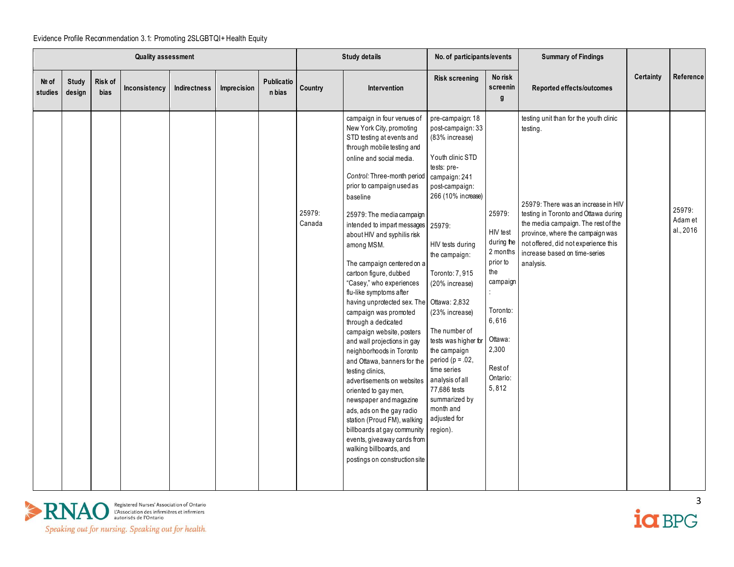| <b>Quality assessment</b> |                        |                 |               |              |             |                      |                  | <b>Study details</b>                                                                                                                                                                                                                                                                                                                                                                                                                                                                                                                                                                                                                                                                                                                                                                                                                                                                                                                                 | No. of participants/events                                                                                                                                                                                                                                                                                                                                                                                                                                    |                                                                                                                                                      | <b>Summary of Findings</b>                                                                                                                                                                                                                                                                         |           |                                |
|---------------------------|------------------------|-----------------|---------------|--------------|-------------|----------------------|------------------|------------------------------------------------------------------------------------------------------------------------------------------------------------------------------------------------------------------------------------------------------------------------------------------------------------------------------------------------------------------------------------------------------------------------------------------------------------------------------------------------------------------------------------------------------------------------------------------------------------------------------------------------------------------------------------------------------------------------------------------------------------------------------------------------------------------------------------------------------------------------------------------------------------------------------------------------------|---------------------------------------------------------------------------------------------------------------------------------------------------------------------------------------------------------------------------------------------------------------------------------------------------------------------------------------------------------------------------------------------------------------------------------------------------------------|------------------------------------------------------------------------------------------------------------------------------------------------------|----------------------------------------------------------------------------------------------------------------------------------------------------------------------------------------------------------------------------------------------------------------------------------------------------|-----------|--------------------------------|
| Nº of<br>studies          | <b>Study</b><br>design | Risk of<br>bias | Inconsistency | Indirectness | Imprecision | Publicatio<br>n bias | Country          | <b>Intervention</b>                                                                                                                                                                                                                                                                                                                                                                                                                                                                                                                                                                                                                                                                                                                                                                                                                                                                                                                                  | <b>Risk screening</b>                                                                                                                                                                                                                                                                                                                                                                                                                                         | No risk<br>screenin<br>g                                                                                                                             | Reported effects/outcomes                                                                                                                                                                                                                                                                          | Certainty | Reference                      |
|                           |                        |                 |               |              |             |                      | 25979:<br>Canada | campaign in four venues of<br>New York City, promoting<br>STD testing at events and<br>through mobile testing and<br>online and social media.<br>Control: Three-month period<br>prior to campaign used as<br>baseline<br>25979: The media campaign<br>intended to impart messages 25979:<br>about HIV and syphilis risk<br>among MSM.<br>The campaign centered on a<br>cartoon figure, dubbed<br>"Casey," who experiences<br>flu-like symptoms after<br>having unprotected sex. The<br>campaign was promoted<br>through a dedicated<br>campaign website, posters<br>and wall projections in gay<br>neighborhoods in Toronto<br>and Ottawa, banners for the<br>testing clinics,<br>advertisements on websites<br>oriented to gay men,<br>newspaper and magazine<br>ads, ads on the gay radio<br>station (Proud FM), walking<br>billboards at gay community<br>events, giveaway cards from<br>walking billboards, and<br>postings on construction site | pre-campaign: 18<br>post-campaign: 33<br>(83% increase)<br>Youth clinic STD<br>tests: pre-<br>campaign: 241<br>post-campaign:<br>266 (10% increase)<br>HIV tests during<br>the campaign:<br>Toronto: 7, 915<br>(20% increase)<br>Ottawa: 2,832<br>(23% increase)<br>The number of<br>tests was higher for<br>the campaign<br>period ( $p = .02$ )<br>time series<br>analysis of all<br>77,686 tests<br>summarized by<br>month and<br>adjusted for<br>region). | 25979:<br>HIV test<br>during the<br>2 months<br>prior to<br>the<br>campaign<br>Toronto:<br>6,616<br>Ottawa:<br>2,300<br>Rest of<br>Ontario:<br>5,812 | testing unit than for the youth clinic<br>testing.<br>25979: There was an increase in HIV<br>testing in Toronto and Ottawa during<br>the media campaign. The rest of the<br>province, where the campaign was<br>not offered, did not experience this<br>increase based on time-series<br>analysis. |           | 25979:<br>Adam et<br>al., 2016 |



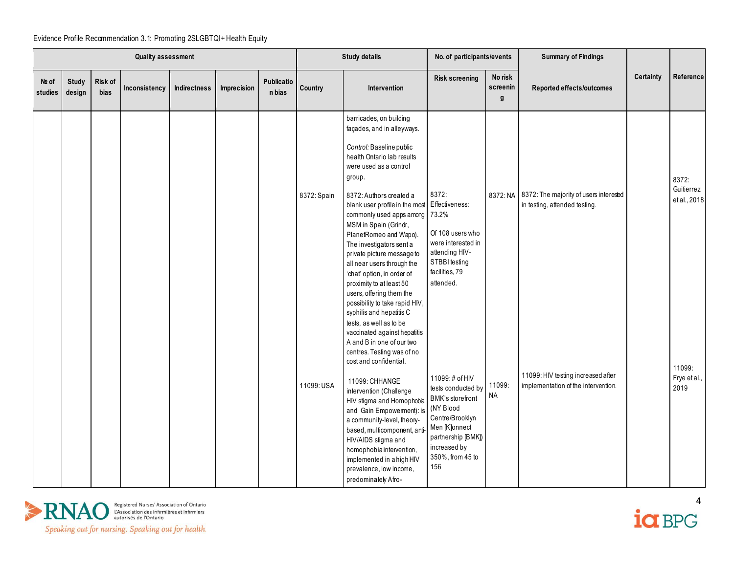|                  | <b>Quality assessment</b> |                        |               |              |             |                      |             | <b>Study details</b>                                                                                                                                                                                                                                                                                                                                                                                                                                                                                           | No. of participants/events                                                                                                                                                        |                          | <b>Summary of Findings</b>                                                       |           |                                     |
|------------------|---------------------------|------------------------|---------------|--------------|-------------|----------------------|-------------|----------------------------------------------------------------------------------------------------------------------------------------------------------------------------------------------------------------------------------------------------------------------------------------------------------------------------------------------------------------------------------------------------------------------------------------------------------------------------------------------------------------|-----------------------------------------------------------------------------------------------------------------------------------------------------------------------------------|--------------------------|----------------------------------------------------------------------------------|-----------|-------------------------------------|
| Nº of<br>studies | <b>Study</b><br>design    | Risk of<br><b>bias</b> | Inconsistency | Indirectness | Imprecision | Publicatio<br>n bias | Country     | <b>Intervention</b>                                                                                                                                                                                                                                                                                                                                                                                                                                                                                            | <b>Risk screening</b>                                                                                                                                                             | No risk<br>screenin<br>g | Reported effects/outcomes                                                        | Certainty | Reference                           |
|                  |                           |                        |               |              |             |                      | 8372: Spain | barricades, on building<br>façades, and in alleyways.<br>Control: Baseline public<br>health Ontario lab results<br>were used as a control<br>group.<br>8372: Authors created a<br>blank user profile in the most Effectiveness:<br>commonly used apps among 73.2%<br>MSM in Spain (Grindr,<br>PlanetRomeo and Wapo).<br>The investigators sent a<br>private picture message to<br>all near users through the<br>'chat' option, in order of<br>proximity to at least 50<br>users, offering them the             | 8372:<br>Of 108 users who<br>were interested in<br>attending HIV-<br>STBBI testing<br>facilities, 79<br>attended.                                                                 |                          | 8372: NA 8372: The majority of users interested<br>in testing, attended testing. |           | 8372:<br>Guitierrez<br>et al., 2018 |
|                  |                           |                        |               |              |             |                      | 11099: USA  | possibility to take rapid HIV,<br>syphilis and hepatitis C<br>tests, as well as to be<br>vaccinated against hepatitis<br>A and B in one of our two<br>centres. Testing was of no<br>cost and confidential.<br>11099: CHHANGE<br>intervention (Challenge<br>HIV stigma and Homophobia<br>and Gain Empowement): is<br>a community-level, theory-<br>based, multicomponent, ant<br>HIV/AIDS stigma and<br>homophobia intervention,<br>implemented in a high HIV<br>prevalence, low income,<br>predominately Afro- | 11099:# of HIV<br>tests conducted by<br><b>BMK's storefront</b><br>(NY Blood<br>Centre/Brooklyn<br>Men [K]onnect<br>partnership [BMK])<br>increased by<br>350%, from 45 to<br>156 | 11099:<br>NA             | 11099: HIV testing increased after<br>implementation of the intervention.        |           | 11099:<br>Frye et al.,<br>2019      |



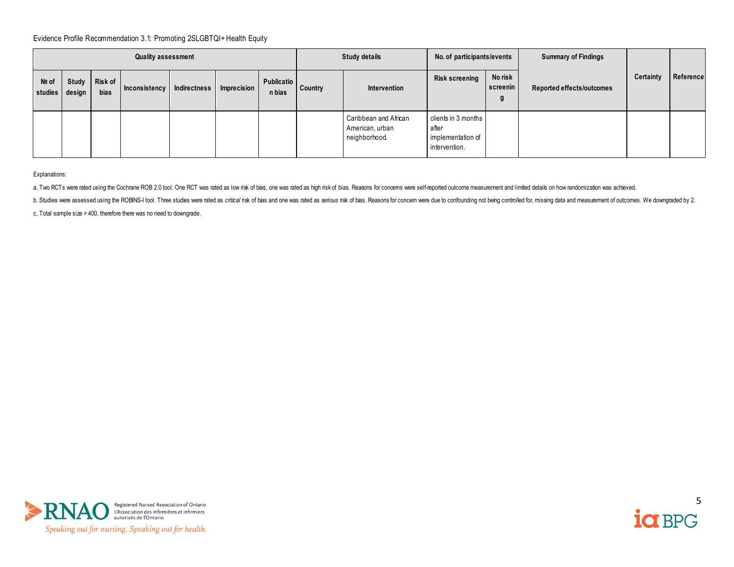|                         | <b>Quality assessment</b> |                        |                            |  |                    |                             |         | <b>Study details</b>                                      |                                                                    | No. of participants/events | <b>Summary of Findings</b> |           |           |
|-------------------------|---------------------------|------------------------|----------------------------|--|--------------------|-----------------------------|---------|-----------------------------------------------------------|--------------------------------------------------------------------|----------------------------|----------------------------|-----------|-----------|
| Nº of<br>studies design | Study                     | Risk of<br><b>bias</b> | Inconsistency Indirectness |  | <b>Imprecision</b> | <b>Publicatio</b><br>n bias | Country | Intervention                                              | <b>Risk screening</b>                                              | No risk<br>screenin<br>g   | Reported effects/outcomes  | Certainty | Reference |
|                         |                           |                        |                            |  |                    |                             |         | Caribbean and African<br>American, urban<br>neighborhood. | clients in 3 months<br>after<br>implementation of<br>intervention. |                            |                            |           |           |

Explanations:

a. Two RCTs were rated using the Cochrane ROB 2.0 tool. One RCT was rated as low risk of bias, one was rated as high risk of bias. Reasons for concerns were self-reported outcome measurement and limited details on how rand

b. Studies were assessed using the ROBNS-I tool. Three studies were rated as critical risk of bias and one was rated as serious risk of bias. Reasons for concern were due to confounding not being controlled for, missing da

c, Total sample size > 400, therefore there was no need to downgrade.



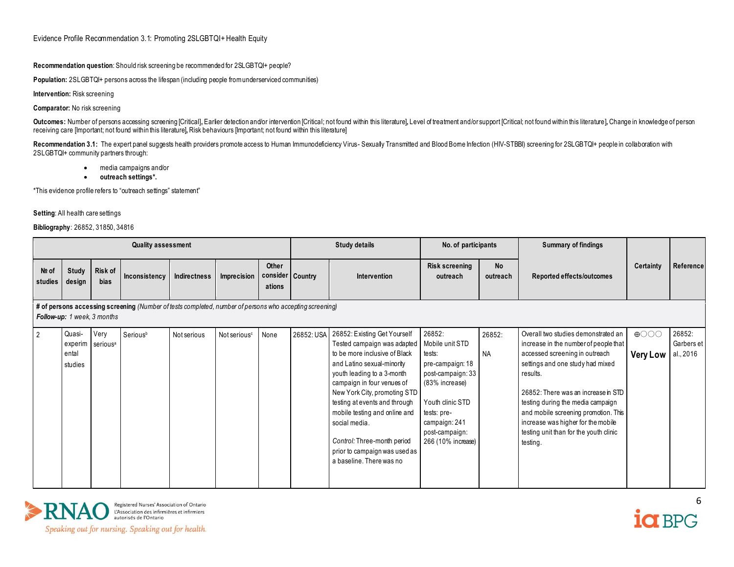**Recommendation question**: Should risk screening be recommended for 2SLGBTQI+ people?

**Population:** 2SLGBTQI+ persons across the lifespan (including people from underserviced communities)

**Intervention:** Risk screening

**Comparator:** No risk screening

Outcomes: Number of persons accessing screening [Critical], Earlier detection and/or intervention [Critical; not found within this literature], Level of treatment and/or support [Critical; not found within this literature] receiving care [Important; not found within this literature]**,** Risk behaviours [Important; not found within this literature]

Recommendation 3.1: The expert panel suggests health providers promote access to Human Immunodeficiency Virus- Sexualy Transmitted and Blood Bome Infection (HIV-STBBI) screening for 2SLGBTQI+ people in collaboration with 2SLGBTQI+ community partners through:

- media campaigns and/or
- **outreach settings\*.**

\*This evidence profile refers to "outreach settings" statement"

#### **Setting**: All health care settings

#### **Bibliography**: 26852, 31850, 34816

|                  | <b>Quality assessment</b>                                                                                                                     |                                      |               |              |                          |                                       |            | <b>Study details</b>                                                                                                                                                                                                                                                                                                                                                                                  |                                                                                                                                                                                            | No. of participants   | <b>Summary of findings</b>                                                                                                                                                                                                                                                                                                                                                     |                                |                                   |
|------------------|-----------------------------------------------------------------------------------------------------------------------------------------------|--------------------------------------|---------------|--------------|--------------------------|---------------------------------------|------------|-------------------------------------------------------------------------------------------------------------------------------------------------------------------------------------------------------------------------------------------------------------------------------------------------------------------------------------------------------------------------------------------------------|--------------------------------------------------------------------------------------------------------------------------------------------------------------------------------------------|-----------------------|--------------------------------------------------------------------------------------------------------------------------------------------------------------------------------------------------------------------------------------------------------------------------------------------------------------------------------------------------------------------------------|--------------------------------|-----------------------------------|
| Nº of<br>studies | <b>Study</b><br>design                                                                                                                        | Risk of<br>bias                      | Inconsistency | Indirectness | Imprecision              | Other<br>consider   Country<br>ations |            | Intervention                                                                                                                                                                                                                                                                                                                                                                                          | <b>Risk screening</b><br>outreach                                                                                                                                                          | <b>No</b><br>outreach | Reported effects/outcomes                                                                                                                                                                                                                                                                                                                                                      | <b>Certainty</b>               | Reference                         |
|                  | # of persons accessing screening (Number of tests completed, number of persons who accepting screening)<br><b>Follow-up:</b> 1 week, 3 months |                                      |               |              |                          |                                       |            |                                                                                                                                                                                                                                                                                                                                                                                                       |                                                                                                                                                                                            |                       |                                                                                                                                                                                                                                                                                                                                                                                |                                |                                   |
| $\overline{2}$   | Quasi-<br>ental<br>studies                                                                                                                    | Very<br>experim serious <sup>a</sup> | Seriousb      | Not serious  | Not serious <sup>c</sup> | None                                  | 26852: USA | 26852: Existing Get Yourself<br>Tested campaign was adapted<br>to be more inclusive of Black<br>and Latino sexual-minority<br>youth leading to a 3-month<br>campaign in four venues of<br>New York City, promoting STD<br>testing at events and through<br>mobile testing and online and<br>social media.<br>Control: Three-month period<br>prior to campaign was used as<br>a baseline. There was no | 26852:<br>Mobile unit STD<br>tests:<br>pre-campaign: 18<br>post-campaign: 33<br>(83% increase)<br>Youth clinic STD<br>tests: pre-<br>campaign: 241<br>post-campaign:<br>266 (10% increase) | 26852:<br><b>NA</b>   | Overall two studies demonstrated an<br>increase in the number of people that<br>accessed screening in outreach<br>settings and one study had mixed<br>results.<br>26852: There was an increase in STD<br>testing during the media campaign<br>and mobile screening promotion. This<br>increase was higher for the mobile<br>testing unit than for the youth clinic<br>testing. | $\bigoplus$<br><b>Very Low</b> | 26852:<br>Garbers et<br>al., 2016 |



Registered Nurses' Association of Ontario<br>L'Association des infirmières et infirmiers<br>autorisés de l'Ontario

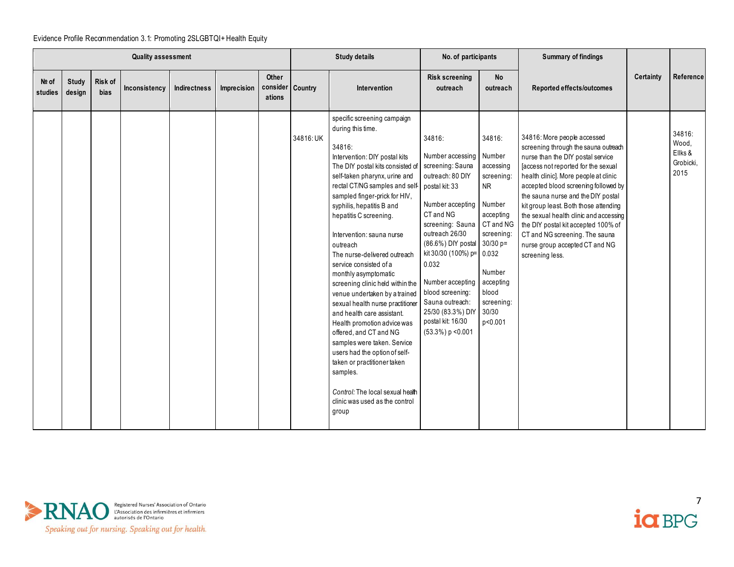|                  | <b>Quality assessment</b> |                 |               |              |             |                                     |           | <b>Study details</b>                                                                                                                                                                                                                                                                                                                                                                                                                                                                                                                                                                                                                                                                                                                                                                                                                           | No. of participants                                                                                                                                                                                                                                                                                                            |                                                                                                                                                                    | <b>Summary of findings</b>                                                                                                                                                                                                                                                                                                                                                                                                                                                              |           |                                                 |
|------------------|---------------------------|-----------------|---------------|--------------|-------------|-------------------------------------|-----------|------------------------------------------------------------------------------------------------------------------------------------------------------------------------------------------------------------------------------------------------------------------------------------------------------------------------------------------------------------------------------------------------------------------------------------------------------------------------------------------------------------------------------------------------------------------------------------------------------------------------------------------------------------------------------------------------------------------------------------------------------------------------------------------------------------------------------------------------|--------------------------------------------------------------------------------------------------------------------------------------------------------------------------------------------------------------------------------------------------------------------------------------------------------------------------------|--------------------------------------------------------------------------------------------------------------------------------------------------------------------|-----------------------------------------------------------------------------------------------------------------------------------------------------------------------------------------------------------------------------------------------------------------------------------------------------------------------------------------------------------------------------------------------------------------------------------------------------------------------------------------|-----------|-------------------------------------------------|
| Nº of<br>studies | <b>Study</b><br>design    | Risk of<br>bias | Inconsistency | Indirectness | Imprecision | Other<br>consider Country<br>ations |           | Intervention                                                                                                                                                                                                                                                                                                                                                                                                                                                                                                                                                                                                                                                                                                                                                                                                                                   | <b>Risk screening</b><br>outreach                                                                                                                                                                                                                                                                                              | <b>No</b><br>outreach                                                                                                                                              | Reported effects/outcomes                                                                                                                                                                                                                                                                                                                                                                                                                                                               | Certainty | Reference                                       |
|                  |                           |                 |               |              |             |                                     | 34816: UK | specific screening campaign<br>during this time.<br>34816:<br>Intervention: DIY postal kits<br>The DIY postal kits consisted of screening: Sauna<br>self-taken pharynx, urine and<br>rectal CT/NG samples and self postal kit: 33<br>sampled finger-prick for HIV,<br>syphilis, hepatitis B and<br>hepatitis C screening.<br>Intervention: sauna nurse<br>outreach<br>The nurse-delivered outreach<br>service consisted of a<br>monthly asymptomatic<br>screening clinic held within the<br>venue undertaken by a trained<br>sexual health nurse practitioner<br>and health care assistant.<br>Health promotion advice was<br>offered, and CT and NG<br>samples were taken. Service<br>users had the option of self-<br>taken or practitioner taken<br>samples.<br>Control: The local sexual health<br>clinic was used as the control<br>group | 34816:<br>Number accessing<br>outreach: 80 DIY<br>Number accepting Number<br>CT and NG<br>screening: Sauna<br>outreach 26/30<br>(86.6%) DIY postal 30/30 p=<br>kit 30/30 (100%) p= 0.032<br>0.032<br>Number accepting<br>blood screening:<br>Sauna outreach:<br>25/30 (83.3%) DIY<br>postal kit: 16/30<br>$(53.3\%) p < 0.001$ | 34816:<br>Number<br>accessing<br>screening:<br><b>NR</b><br>accepting<br>CT and NG<br>screening:<br>Number<br>accepting<br>blood<br>screening:<br>30/30<br>p<0.001 | 34816: More people accessed<br>screening through the sauna outreach<br>nurse than the DIY postal service<br>[access not reported for the sexual<br>health clinic]. More people at clinic<br>accepted blood screening followed by<br>the sauna nurse and the DIY postal<br>kit group least. Both those attending<br>the sexual health clinic and accessing<br>the DIY postal kit accepted 100% of<br>CT and NG screening. The sauna<br>nurse group accepted CT and NG<br>screening less. |           | 34816:<br>Wood.<br>Ellks &<br>Grobicki,<br>2015 |